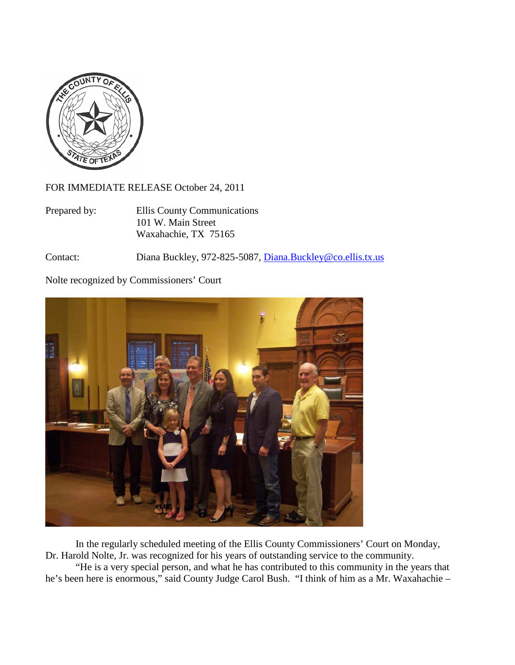

FOR IMMEDIATE RELEASE October 24, 2011

Prepared by: Ellis County Communications 101 W. Main Street Waxahachie, TX 75165

Contact: Diana Buckley, 972-825-5087, [Diana.Buckley@co.ellis.tx.us](mailto:Diana.Buckley@co.ellis.tx.us)

Nolte recognized by Commissioners' Court



In the regularly scheduled meeting of the Ellis County Commissioners' Court on Monday, Dr. Harold Nolte, Jr. was recognized for his years of outstanding service to the community.

"He is a very special person, and what he has contributed to this community in the years that he's been here is enormous," said County Judge Carol Bush. "I think of him as a Mr. Waxahachie –